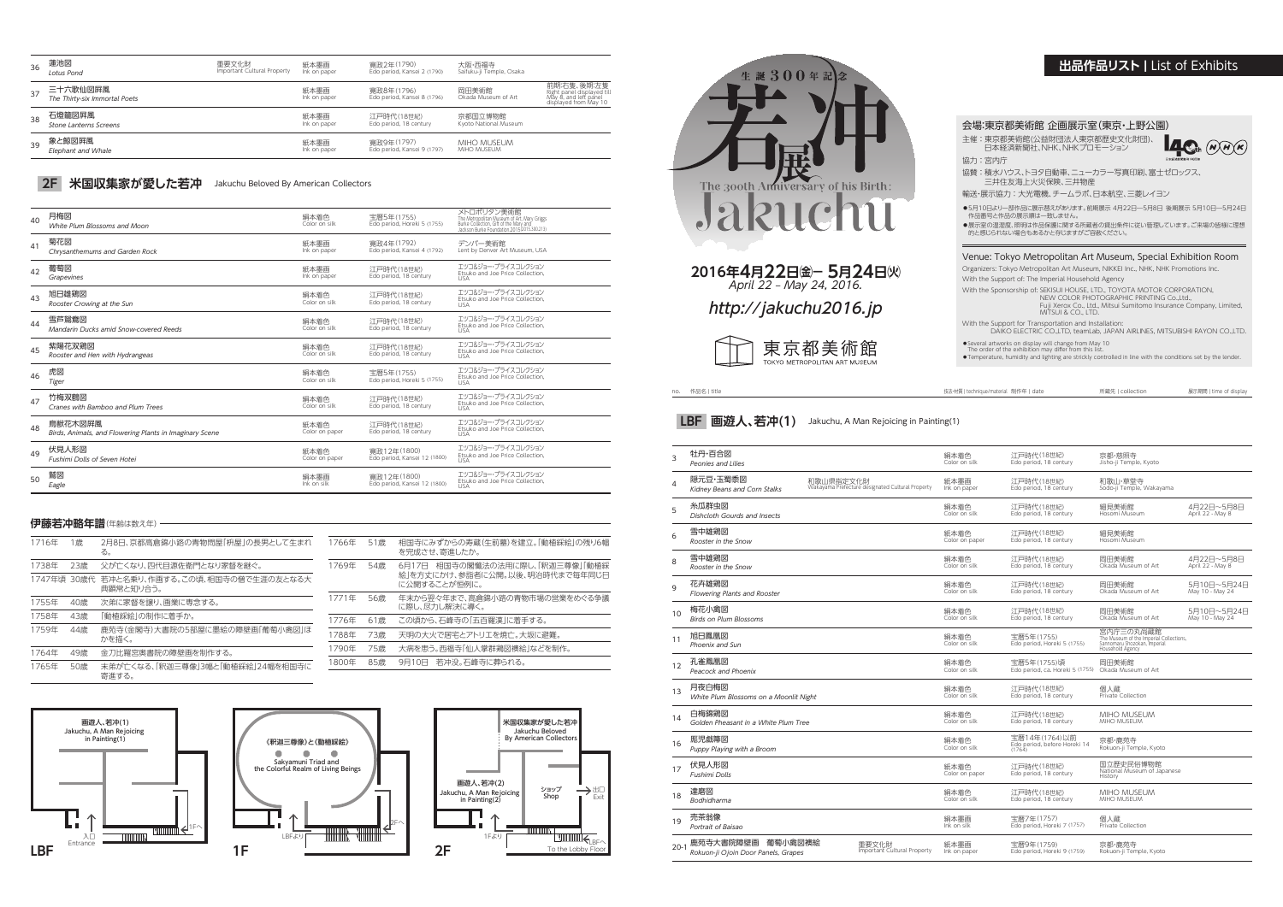no. 作品名 | title 技法・材質 | technique/material 制作年 | date 所蔵先 | collection 展示期間 | time of display

| 3        | 牡丹·百合図<br>Peonies and Lilies                                |                                                               | 絹本着色<br>Color on silk  | 江戸時代(18世紀)<br>Edo period, 18 century                               | 京都·慈照寺<br>Jisho-ji Temple, Kyoto                                                                         |                                |
|----------|-------------------------------------------------------------|---------------------------------------------------------------|------------------------|--------------------------------------------------------------------|----------------------------------------------------------------------------------------------------------|--------------------------------|
| 4        | 隠元豆·玉蜀黍図<br>Kidney Beans and Corn Stalks                    | 和歌山県指定文化財<br>Wakayama Prefecture designated Cultural Property | 紙本墨画<br>Ink on paper   | 江戸時代(18世紀)<br>Edo period, 18 century                               | 和歌山·草堂寺<br>Sodo-ji Temple, Wakayama                                                                      |                                |
| 5        | 糸瓜群虫図<br>Dishcloth Gourds and Insects                       |                                                               | 絹本着色<br>Color on silk  | 江戸時代(18世紀)<br>Edo period, 18 century                               | 細見美術館<br>Hosomi Museum                                                                                   | 4月22日~5月8日<br>April 22 - May 8 |
| 6        | 雪中雄鶏図<br>Rooster in the Snow                                |                                                               | 紙本着色<br>Color on paper | 江戸時代(18世紀)<br>Edo period, 18 century                               | 細見美術館<br>Hosomi Museum                                                                                   |                                |
| 8        | 雪中雄鶏図<br>Rooster in the Snow                                |                                                               | 絹本着色<br>Color on silk  | 江戸時代(18世紀)<br>Edo period, 18 century                               | 岡田美術館<br>Okada Museum of Art                                                                             | 4月22日~5月8日<br>April 22 - May 8 |
| 9        | 花卉雄鶏図<br>Flowering Plants and Rooster                       |                                                               | 絹本着色<br>Color on silk  | 江戸時代(18世紀)<br>Edo period, 18 century                               | 岡田美術館<br>Okada Museum of Art                                                                             | 5月10日~5月24日<br>May 10 - May 24 |
| 10       | 梅花小禽図<br><b>Birds on Plum Blossoms</b>                      |                                                               | 絹本着色<br>Color on silk  | 江戸時代(18世紀)<br>Edo period, 18 century                               | 岡田美術館<br>Okada Museum of Art                                                                             | 5月10日~5月24日<br>May 10 - May 24 |
| 11       | 旭日鳳凰図<br>Phoenix and Sun                                    |                                                               | 絹本着色<br>Color on silk  | 宝暦5年(1755)<br>Edo period, Horeki 5 (1755)                          | 宮内庁三の丸尚蔵館<br>The Museum of the Imperial Collections,<br>Sannomaru Shozokan, Imperial<br>Household Agency |                                |
| 12       | 孔雀鳳凰図<br>Peacock and Phoenix                                |                                                               | 絹本着色<br>Color on silk  | 宝暦5年(1755)頃<br>Edo period, ca. Horeki 5 (1755) Okada Museum of Art | 岡田美術館                                                                                                    |                                |
| 13       | 月夜白梅図<br>White Plum Blossoms on a Moonlit Night             |                                                               | 絹本着色<br>Color on silk  | 江戸時代(18世紀)<br>Edo period, 18 century                               | 個人蔵<br>Private Collection                                                                                |                                |
| 14       | 白梅錦鶏図<br>Golden Pheasant in a White Plum Tree               |                                                               | 絹本着色<br>Color on silk  | 江戸時代(18世紀)<br>Edo period, 18 century                               | <b>MIHO MUSEUM</b><br>MIHO MUSEUM                                                                        |                                |
| 16       | 厖児戯箒図<br>Puppy Playing with a Broom                         |                                                               | 絹本着色<br>Color on silk  | 宝暦14年(1764)以前<br>Edo period, before Horeki 14<br>(1764)            | 京都·鹿苑寺<br>Rokuon-ji Temple, Kyoto                                                                        |                                |
| 17       | 伏見人形図<br><b>Fushimi Dolls</b>                               |                                                               | 紙本着色<br>Color on paper | 江戸時代(18世紀)<br>Edo period, 18 century                               | 国立歴史民俗博物館<br>National Museum of Japanese<br>History                                                      |                                |
| 18       | 達磨図<br>Bodhidharma                                          |                                                               | 絹本着色<br>Color on silk  | 江戸時代(18世紀)<br>Edo period, 18 century                               | MIHO MUSEUM<br>MIHO MUSEUM                                                                               |                                |
| 19       | 売茶翁像<br>Portrait of Baisao                                  |                                                               | 絹本墨画<br>Ink on silk    | 宝暦7年(1757)<br>Edo period, Horeki 7 (1757)                          | 個人蔵<br><b>Private Collection</b>                                                                         |                                |
| $20 - 1$ | 鹿苑寺大書院障壁画<br>葡萄小禽図襖絵<br>Rokuon-ji Ojoin Door Panels, Grapes | 重要文化財<br>Important Cultural Property                          | 紙本墨画<br>Ink on paper   | 宝暦9年(1759)<br>Edo period, Horeki 9 (1759)                          | 京都·鹿苑寺<br>Rokuon-ji Temple, Kyoto                                                                        |                                |
|          |                                                             |                                                               |                        |                                                                    |                                                                                                          |                                |

●5月10日より一部作品に展示替えがあります。前期展示 4月22日―5月8日 後期展示 5月10日―5月24日 作品番号と作品の展示順は一致しません。

●展示室の温湿度、照明は作品保護に関する所蔵者の貸出条件に従い管理しています。ご来場の皆様に理想<br>- 的と感じられない場合もあるかと存じますがご容赦ください。

| 36 | 蓮池図<br>Lotus Pond                         | 重要文化財<br>Important Cultural Property | 紙本墨画<br>Ink on paper | 寛政2年(1790)<br>Edo period, Kansei 2 (1790) | 大阪·西福寺<br>Saifuku-ji Temple, Osaka |                                                                                             |
|----|-------------------------------------------|--------------------------------------|----------------------|-------------------------------------------|------------------------------------|---------------------------------------------------------------------------------------------|
| 37 | 三十六歌仙図屛風<br>The Thirty-six Immortal Poets |                                      | 紙本墨画<br>Ink on paper | 寛政8年(1796)<br>Edo period, Kansei 8 (1796) | 岡田美術館<br>Okada Museum of Art       | 前期:右隻、後期:左隻<br>Right panel displayed till<br>May 8, and left panel<br>displayed from May 10 |
| 38 | 石燈籠図屛風<br>Stone Lanterns Screens          |                                      | 紙本墨画<br>Ink on paper | 江戸時代(18世紀)<br>Edo period, 18 century      | 京都国立博物館<br>Kyoto National Museum   |                                                                                             |
| 39 | 象と鯨図屛風<br>Elephant and Whale              |                                      | 紙本墨画<br>Ink on paper | 寛政9年(1797)<br>Edo period, Kansei 9 (1797) | MIHO MUSEUM<br>MIHO MUSEUM         |                                                                                             |

## 2F 米国収集家が愛した若冲 Jakuchu Beloved By American Collectors

| 40 | 月梅図<br>White Plum Blossoms and Moon                                | 絹本着色<br>Color on silk  | 宝暦5年(1755)<br>Edo period, Horeki 5 (1755)   | メトロポリタン美術館<br>The Metropolitan Museum of Art, Mary Griggs<br>Burke Collection, Gift of the Mary and<br>Jackson Burke Foundation, 2015(2015.300.213) |
|----|--------------------------------------------------------------------|------------------------|---------------------------------------------|-----------------------------------------------------------------------------------------------------------------------------------------------------|
| 41 | 菊花図<br>Chrysanthemums and Garden Rock                              | 紙本墨画<br>Ink on paper   | 寛政4年(1792)<br>Edo period, Kansei 4 (1792)   | デンバー美術館<br>Lent by Denver Art Museum, USA                                                                                                           |
| 42 | 葡萄図<br>Grapevines                                                  | 紙本墨画<br>Ink on paper   | 江戸時代(18世紀)<br>Edo period, 18 century        | エツコ&ジョー・プライスコレクション<br>Etsuko and Joe Price Collection.<br><b>USA</b>                                                                                |
| 43 | 旭日雄鶏図<br>Rooster Crowing at the Sun                                | 絹本着色<br>Color on silk  | 江戸時代(18世紀)<br>Edo period, 18 century        | エツコ&ジョー・プライスコレクション<br>Etsuko and Joe Price Collection.<br>LISA                                                                                      |
| 44 | 雪芦鴛鴦図<br>Mandarin Ducks amid Snow-covered Reeds                    | 絹本着色<br>Color on silk  | 江戸時代(18世紀)<br>Edo period, 18 century        | エツコ&ジョー・プライスコレクション<br>Etsuko and Joe Price Collection.<br><b>USA</b>                                                                                |
| 45 | 紫陽花双鶏図<br>Rooster and Hen with Hydrangeas                          | 絹本着色<br>Color on silk  | 江戸時代(18世紀)<br>Edo period, 18 century        | エツコ&ジョー・プライスコレクション<br>Etsuko and Joe Price Collection,<br><b>USA</b>                                                                                |
| 46 | 虎図<br>Tiger                                                        | 絹本着色<br>Color on silk  | 宝暦5年(1755)<br>Edo period, Horeki 5 (1755)   | エツコ&ジョー・プライスコレクション<br>Etsuko and Joe Price Collection,<br><b>USA</b>                                                                                |
| 47 | 竹梅双鶴図<br>Cranes with Bamboo and Plum Trees                         | 絹本着色<br>Color on silk  | 江戸時代(18世紀)<br>Edo period, 18 century        | エツコ&ジョー・プライスコレクション<br>Etsuko and Joe Price Collection.<br>LISA                                                                                      |
| 48 | 鳥獣花木図屛風<br>Birds, Animals, and Flowering Plants in Imaginary Scene | 紙本着色<br>Color on paper | 江戸時代(18世紀)<br>Edo period, 18 century        | エツコ&ジョー・プライスコレクション<br>Etsuko and Joe Price Collection,                                                                                              |
| 49 | 伏見人形図<br><b>Fushimi Dolls of Seven Hotei</b>                       | 紙本着色<br>Color on paper | 寛政12年(1800)<br>Edo period, Kansei 12 (1800) | エツコ&ジョー・プライスコレクション<br>Etsuko and Joe Price Collection.<br><b>USA</b>                                                                                |
| 50 | 鷲図<br>Eagle                                                        | 絹本墨画<br>Ink on silk    | 寛政12年(1800)<br>Edo period, Kansei 12 (1800) | エツコ&ジョー・プライスコレクション<br>Etsuko and Joe Price Collection.<br><b>USA</b>                                                                                |

LBFより

 $\blacksquare$ 

《釈迦三尊像》と《動植綵絵》

THEFTIN





Sakyamuni Triad and the Colorful Realm of Living Beings

#### 会場:東京都美術館 企画展示室(東京・上野公園)

主催 : 東京都美術館(公益財団法人東京都歴史文化財団)、 日本経済新聞社、NHK、NHKプロモーション



協力 : 宮内庁

協賛 : 積水ハウス、トヨタ自動車、ニューカラー写真印刷、富士ゼロックス、 三井住友海上火災保険、三井物産

輸送・展示協力 : 大光電機、チームラボ、日本航空、三菱レイヨン

## Venue: Tokyo Metropolitan Art Museum, Special Exhibition Room

Organizers: Tokyo Metropolitan Art Museum, NIKKEI Inc., NHK, NHK Promotions Inc. With the Support of: The Imperial Household Agency

With the Sponsorship of: SEKISUI HOUSE, LTD., TOYOTA MOTOR CORPORATION,

NEW COLOR PHOTOGRAPHIC PRINTING Co.,Ltd., Fuji Xerox Co., Ltd., Mitsui Sumitomo Insurance Company, Limited,

MITSUI & CO., LTD.

With the Support for Transportation and Installation: DAIKO ELECTRIC CO.,LTD, teamLab, JAPAN AIRLINES, MITSUBISHI RAYON CO.,LTD.

●Several artworks on display will change from May 10<br>The order of the exhibition may differ from this list.<br>●Temperature, humidity and lighting are strickly controlled in line with the conditions set by the lender.

# **出品作品リスト |** List of Exhibits

| 生誕300年記<br>念<br>y of his Birth:<br>The 300th<br>uruchu |
|--------------------------------------------------------|
| 2016年4月22日 金一 5月24日 火<br>April 22 - May 24, 2016.      |
| http://jakuchu2016.jp                                  |
| 東京都美術館<br>TOKYO METROPOLITAN ART MUSEUM                |

**LBF** 画遊人、若冲(1) Jakuchu, A Man Rejoicing in Painting(1)

| 1716年       | 1歳  | 2月8日、京都高倉錦小路の青物問屋「枡屋」の長男として生まれ<br>る。        |
|-------------|-----|---------------------------------------------|
| 1738年       | 23歳 | 父が亡くなり、四代目源佐衛門となり家督を継ぐ。                     |
| 1747年頃 30歳代 |     | 若冲と名乗り、作画する。この頃、相国寺の僧で生涯の友となる大<br>典顕常と知り合う。 |
| 1755年       | 40歳 | 次弟に家督を譲り、画業に専念する。                           |
| 1758年       | 43歳 | 「動植綵絵」の制作に着手か。                              |
| 1759年       | 44歳 | 鹿苑寺(金閣寺)大書院の5部屋に墨絵の障壁画[葡萄小禽図 ほ<br>かを描く。     |
| 1764年       | 49歳 | 金刀比羅宮奥書院の障壁画を制作する。                          |
| 1765年       | 50歳 | 末弟が亡くなる、「釈迦三尊像13幅と「動植綵絵124幅を相国寺に<br>寄進する。   |



### **伊藤若冲略年譜**(年齢は数え年)